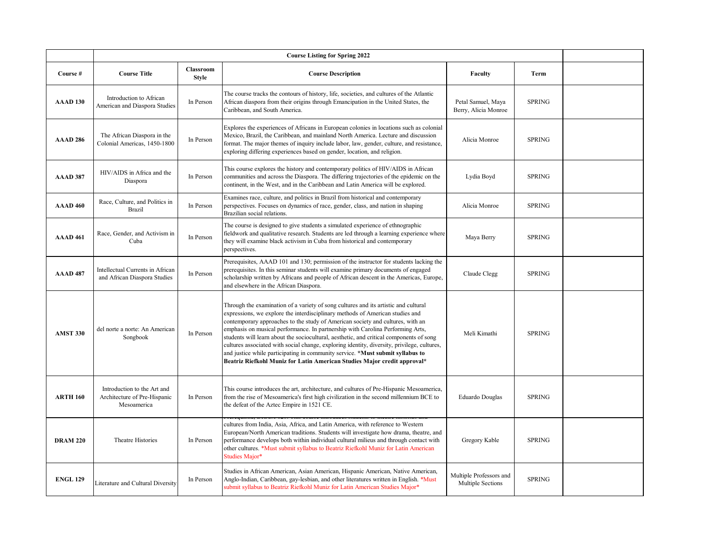|                 | <b>Course Listing for Spring 2022</b>                                      |                                  |                                                                                                                                                                                                                                                                                                                                                                                                                                                                                                                                                                                                                                                                                                  |                                              |               |  |
|-----------------|----------------------------------------------------------------------------|----------------------------------|--------------------------------------------------------------------------------------------------------------------------------------------------------------------------------------------------------------------------------------------------------------------------------------------------------------------------------------------------------------------------------------------------------------------------------------------------------------------------------------------------------------------------------------------------------------------------------------------------------------------------------------------------------------------------------------------------|----------------------------------------------|---------------|--|
| Course #        | <b>Course Title</b>                                                        | <b>Classroom</b><br><b>Style</b> | <b>Course Description</b>                                                                                                                                                                                                                                                                                                                                                                                                                                                                                                                                                                                                                                                                        | <b>Faculty</b>                               | Term          |  |
| AAAD 130        | Introduction to African<br>American and Diaspora Studies                   | In Person                        | The course tracks the contours of history, life, societies, and cultures of the Atlantic<br>African diaspora from their origins through Emancipation in the United States, the<br>Caribbean, and South America.                                                                                                                                                                                                                                                                                                                                                                                                                                                                                  | Petal Samuel, Maya<br>Berry, Alicia Monroe   | <b>SPRING</b> |  |
| AAAD 286        | The African Diaspora in the<br>Colonial Americas, 1450-1800                | In Person                        | Explores the experiences of Africans in European colonies in locations such as colonial<br>Mexico, Brazil, the Caribbean, and mainland North America. Lecture and discussion<br>format. The major themes of inquiry include labor, law, gender, culture, and resistance,<br>exploring differing experiences based on gender, location, and religion.                                                                                                                                                                                                                                                                                                                                             | Alicia Monroe                                | <b>SPRING</b> |  |
| AAAD 387        | HIV/AIDS in Africa and the<br>Diaspora                                     | In Person                        | This course explores the history and contemporary politics of HIV/AIDS in African<br>communities and across the Diaspora. The differing trajectories of the epidemic on the<br>continent, in the West, and in the Caribbean and Latin America will be explored.                                                                                                                                                                                                                                                                                                                                                                                                                                  | Lydia Boyd                                   | <b>SPRING</b> |  |
| <b>AAAD 460</b> | Race, Culture, and Politics in<br><b>Brazil</b>                            | In Person                        | Examines race, culture, and politics in Brazil from historical and contemporary<br>perspectives. Focuses on dynamics of race, gender, class, and nation in shaping<br>Brazilian social relations.                                                                                                                                                                                                                                                                                                                                                                                                                                                                                                | Alicia Monroe                                | <b>SPRING</b> |  |
| <b>AAAD 461</b> | Race, Gender, and Activism in<br>Cuba                                      | In Person                        | The course is designed to give students a simulated experience of ethnographic<br>ieldwork and qualitative research. Students are led through a learning experience where<br>they will examine black activism in Cuba from historical and contemporary<br>perspectives.                                                                                                                                                                                                                                                                                                                                                                                                                          | Maya Berry                                   | <b>SPRING</b> |  |
| <b>AAAD 487</b> | Intellectual Currents in African<br>and African Diaspora Studies           | In Person                        | Prerequisites, AAAD 101 and 130; permission of the instructor for students lacking the<br>prerequisites. In this seminar students will examine primary documents of engaged<br>scholarship written by Africans and people of African descent in the Americas, Europe,<br>and elsewhere in the African Diaspora.                                                                                                                                                                                                                                                                                                                                                                                  | Claude Clegg                                 | <b>SPRING</b> |  |
| <b>AMST 330</b> | del norte a norte: An American<br>Songbook                                 | In Person                        | Through the examination of a variety of song cultures and its artistic and cultural<br>expressions, we explore the interdisciplinary methods of American studies and<br>contemporary approaches to the study of American society and cultures, with an<br>emphasis on musical performance. In partnership with Carolina Performing Arts,<br>students will learn about the sociocultural, aesthetic, and critical components of song<br>cultures associated with social change, exploring identity, diversity, privilege, cultures,<br>and justice while participating in community service. *Must submit syllabus to<br>Beatriz Riefkohl Muniz for Latin American Studies Major credit approval* | Meli Kimathi                                 | <b>SPRING</b> |  |
| <b>ARTH 160</b> | Introduction to the Art and<br>Architecture of Pre-Hispanic<br>Mesoamerica | In Person                        | This course introduces the art, architecture, and cultures of Pre-Hispanic Mesoamerica,<br>from the rise of Mesoamerica's first high civilization in the second millennium BCE to<br>the defeat of the Aztec Empire in 1521 CE.                                                                                                                                                                                                                                                                                                                                                                                                                                                                  | Eduardo Douglas                              | <b>SPRING</b> |  |
| <b>DRAM 220</b> | Theatre Histories                                                          | In Person                        | cultures from India, Asia, Africa, and Latin America, with reference to Western<br>European/North American traditions. Students will investigate how drama, theatre, and<br>berformance develops both within individual cultural milieus and through contact with<br>other cultures. *Must submit syllabus to Beatriz Riefkohl Muniz for Latin American<br>Studies Major*                                                                                                                                                                                                                                                                                                                        | Gregory Kable                                | <b>SPRING</b> |  |
| <b>ENGL 129</b> | Literature and Cultural Diversity                                          | In Person                        | Studies in African American, Asian American, Hispanic American, Native American,<br>Anglo-Indian, Caribbean, gay-lesbian, and other literatures written in English. *Must<br>submit syllabus to Beatriz Riefkohl Muniz for Latin American Studies Major*                                                                                                                                                                                                                                                                                                                                                                                                                                         | Multiple Professors and<br>Multiple Sections | <b>SPRING</b> |  |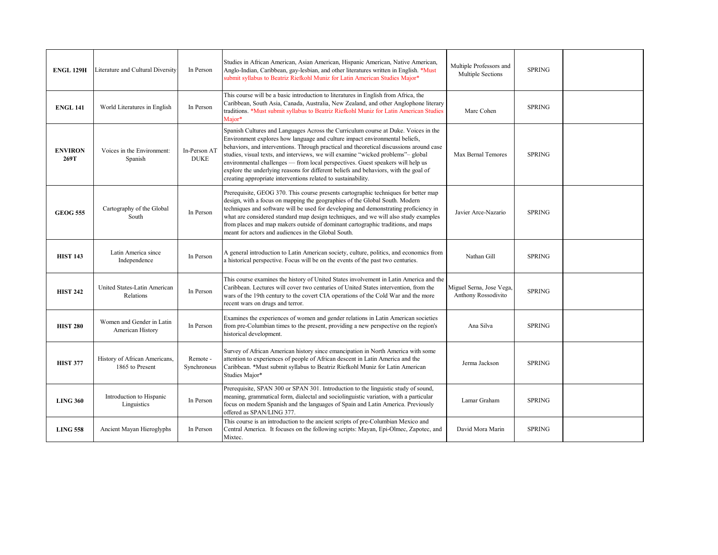| <b>ENGL 129H</b>       | Literature and Cultural Diversity                | In Person                   | Studies in African American, Asian American, Hispanic American, Native American,<br>Anglo-Indian, Caribbean, gay-lesbian, and other literatures written in English. *Must<br>submit syllabus to Beatriz Riefkohl Muniz for Latin American Studies Major*                                                                                                                                                                                                                                                                                                                                     | Multiple Professors and<br>Multiple Sections    | <b>SPRING</b> |  |
|------------------------|--------------------------------------------------|-----------------------------|----------------------------------------------------------------------------------------------------------------------------------------------------------------------------------------------------------------------------------------------------------------------------------------------------------------------------------------------------------------------------------------------------------------------------------------------------------------------------------------------------------------------------------------------------------------------------------------------|-------------------------------------------------|---------------|--|
| <b>ENGL 141</b>        | World Literatures in English                     | In Person                   | This course will be a basic introduction to literatures in English from Africa, the<br>Caribbean, South Asia, Canada, Australia, New Zealand, and other Anglophone literary<br>traditions. *Must submit syllabus to Beatriz Riefkohl Muniz for Latin American Studies<br>Maior*                                                                                                                                                                                                                                                                                                              | Marc Cohen                                      | <b>SPRING</b> |  |
| <b>ENVIRON</b><br>269T | Voices in the Environment:<br>Spanish            | In-Person AT<br><b>DUKE</b> | Spanish Cultures and Languages Across the Curriculum course at Duke. Voices in the<br>Environment explores how language and culture impact environmental beliefs,<br>behaviors, and interventions. Through practical and theoretical discussions around case<br>studies, visual texts, and interviews, we will examine "wicked problems"- global<br>environmental challenges — from local perspectives. Guest speakers will help us<br>explore the underlying reasons for different beliefs and behaviors, with the goal of<br>creating appropriate interventions related to sustainability. | Max Bernal Temores                              | <b>SPRING</b> |  |
| <b>GEOG 555</b>        | Cartography of the Global<br>South               | In Person                   | Prerequisite, GEOG 370. This course presents cartographic techniques for better map<br>design, with a focus on mapping the geographies of the Global South. Modern<br>techniques and software will be used for developing and demonstrating proficiency in<br>what are considered standard map design techniques, and we will also study examples<br>from places and map makers outside of dominant cartographic traditions, and maps<br>meant for actors and audiences in the Global South.                                                                                                 | Javier Arce-Nazario                             | <b>SPRING</b> |  |
| <b>HIST 143</b>        | Latin America since<br>Independence              | In Person                   | A general introduction to Latin American society, culture, politics, and economics from<br>a historical perspective. Focus will be on the events of the past two centuries.                                                                                                                                                                                                                                                                                                                                                                                                                  | Nathan Gill                                     | <b>SPRING</b> |  |
| <b>HIST 242</b>        | United States-Latin American<br><b>Relations</b> | In Person                   | This course examines the history of United States involvement in Latin America and the<br>Caribbean. Lectures will cover two centuries of United States intervention, from the<br>wars of the 19th century to the covert CIA operations of the Cold War and the more<br>recent wars on drugs and terror.                                                                                                                                                                                                                                                                                     | Miguel Serna, Jose Vega,<br>Anthony Rossodivito | <b>SPRING</b> |  |
| <b>HIST 280</b>        | Women and Gender in Latin<br>American History    | In Person                   | Examines the experiences of women and gender relations in Latin American societies<br>from pre-Columbian times to the present, providing a new perspective on the region's<br>historical development.                                                                                                                                                                                                                                                                                                                                                                                        | Ana Silva                                       | <b>SPRING</b> |  |
| <b>HIST 377</b>        | History of African Americans,<br>1865 to Present | Remote -<br>Synchronous     | Survey of African American history since emancipation in North America with some<br>attention to experiences of people of African descent in Latin America and the<br>Caribbean. *Must submit syllabus to Beatriz Riefkohl Muniz for Latin American<br>Studies Major*                                                                                                                                                                                                                                                                                                                        | Jerma Jackson                                   | <b>SPRING</b> |  |
| <b>LING 360</b>        | Introduction to Hispanic<br>Linguistics          | In Person                   | Prerequisite, SPAN 300 or SPAN 301. Introduction to the linguistic study of sound,<br>meaning, grammatical form, dialectal and sociolinguistic variation, with a particular<br>focus on modern Spanish and the languages of Spain and Latin America. Previously<br>offered as SPAN/LING 377.                                                                                                                                                                                                                                                                                                 | Lamar Graham                                    | <b>SPRING</b> |  |
| <b>LING 558</b>        | Ancient Mayan Hieroglyphs                        | In Person                   | This course is an introduction to the ancient scripts of pre-Columbian Mexico and<br>Central America. It focuses on the following scripts: Mayan, Epi-Olmec, Zapotec, and<br>Mixtec.                                                                                                                                                                                                                                                                                                                                                                                                         | David Mora Marin                                | <b>SPRING</b> |  |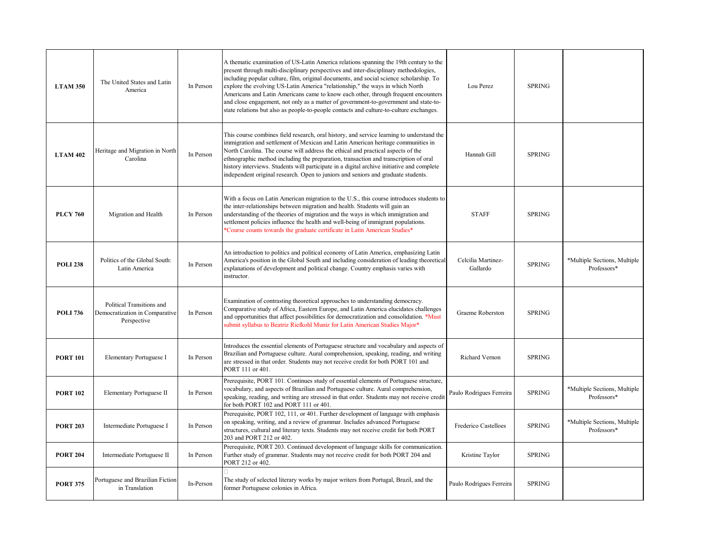| <b>LTAM 350</b> | The United States and Latin<br>America                                     | In Person | A thematic examination of US-Latin America relations spanning the 19th century to the<br>present through multi-disciplinary perspectives and inter-disciplinary methodologies,<br>including popular culture, film, original documents, and social science scholarship. To<br>explore the evolving US-Latin America "relationship," the ways in which North<br>Americans and Latin Americans came to know each other, through frequent encounters<br>and close engagement, not only as a matter of government-to-government and state-to-<br>state relations but also as people-to-people contacts and culture-to-culture exchanges. | Lou Perez                      | <b>SPRING</b> |                                             |
|-----------------|----------------------------------------------------------------------------|-----------|-------------------------------------------------------------------------------------------------------------------------------------------------------------------------------------------------------------------------------------------------------------------------------------------------------------------------------------------------------------------------------------------------------------------------------------------------------------------------------------------------------------------------------------------------------------------------------------------------------------------------------------|--------------------------------|---------------|---------------------------------------------|
| <b>LTAM 402</b> | Heritage and Migration in North<br>Carolina                                | In Person | This course combines field research, oral history, and service learning to understand the<br>immigration and settlement of Mexican and Latin American heritage communities in<br>North Carolina. The course will address the ethical and practical aspects of the<br>ethnographic method including the preparation, transaction and transcription of oral<br>history interviews. Students will participate in a digital archive initiative and complete<br>independent original research. Open to juniors and seniors and graduate students.                                                                                        | Hannah Gill                    | <b>SPRING</b> |                                             |
| <b>PLCY 760</b> | Migration and Health                                                       | In Person | With a focus on Latin American migration to the U.S., this course introduces students to<br>the inter-relationships between migration and health. Students will gain an<br>understanding of the theories of migration and the ways in which immigration and<br>settlement policies influence the health and well-being of immigrant populations.<br>*Course counts towards the graduate certificate in Latin American Studies*                                                                                                                                                                                                      | <b>STAFF</b>                   | <b>SPRING</b> |                                             |
| <b>POLI 238</b> | Politics of the Global South:<br>Latin America                             | In Person | An introduction to politics and political economy of Latin America, emphasizing Latin<br>America's position in the Global South and including consideration of leading theoretical<br>explanations of development and political change. Country emphasis varies with<br>instructor.                                                                                                                                                                                                                                                                                                                                                 | Celcilia Martinez-<br>Gallardo | <b>SPRING</b> | *Multiple Sections, Multiple<br>Professors* |
| <b>POLI 736</b> | Political Transitions and<br>Democratization in Comparative<br>Perspective | In Person | Examination of contrasting theoretical approaches to understanding democracy.<br>Comparative study of Africa, Eastern Europe, and Latin America elucidates challenges<br>and opportunities that affect possibilities for democratization and consolidation. *Must<br>submit syllabus to Beatriz Riefkohl Muniz for Latin American Studies Major*                                                                                                                                                                                                                                                                                    | Graeme Roberston               | <b>SPRING</b> |                                             |
| <b>PORT 101</b> | Elementary Portuguese I                                                    | In Person | Introduces the essential elements of Portuguese structure and vocabulary and aspects of<br>Brazilian and Portuguese culture. Aural comprehension, speaking, reading, and writing<br>are stressed in that order. Students may not receive credit for both PORT 101 and<br>PORT 111 or 401.                                                                                                                                                                                                                                                                                                                                           | Richard Vernon                 | <b>SPRING</b> |                                             |
| <b>PORT 102</b> | Elementary Portuguese II                                                   | In Person | Prerequisite, PORT 101. Continues study of essential elements of Portuguese structure,<br>vocabulary, and aspects of Brazilian and Portuguese culture. Aural comprehension,<br>speaking, reading, and writing are stressed in that order. Students may not receive credit<br>for both PORT 102 and PORT 111 or 401.                                                                                                                                                                                                                                                                                                                 | Paulo Rodrigues Ferreira       | <b>SPRING</b> | *Multiple Sections, Multiple<br>Professors* |
| <b>PORT 203</b> | Intermediate Portuguese I                                                  | In Person | Prerequisite, PORT 102, 111, or 401. Further development of language with emphasis<br>on speaking, writing, and a review of grammar. Includes advanced Portuguese<br>structures, cultural and literary texts. Students may not receive credit for both PORT<br>203 and PORT 212 or 402.                                                                                                                                                                                                                                                                                                                                             | Frederico Castelloes           | <b>SPRING</b> | *Multiple Sections, Multiple<br>Professors* |
| <b>PORT 204</b> | Intermediate Portuguese II                                                 | In Person | Prerequisite, PORT 203. Continued development of language skills for communication.<br>Further study of grammar. Students may not receive credit for both PORT 204 and<br>PORT 212 or 402.                                                                                                                                                                                                                                                                                                                                                                                                                                          | Kristine Taylor                | <b>SPRING</b> |                                             |
| <b>PORT 375</b> | Portuguese and Brazilian Fiction<br>in Translation                         | In-Person | The study of selected literary works by major writers from Portugal, Brazil, and the<br>former Portuguese colonies in Africa.                                                                                                                                                                                                                                                                                                                                                                                                                                                                                                       | Paulo Rodrigues Ferreira       | <b>SPRING</b> |                                             |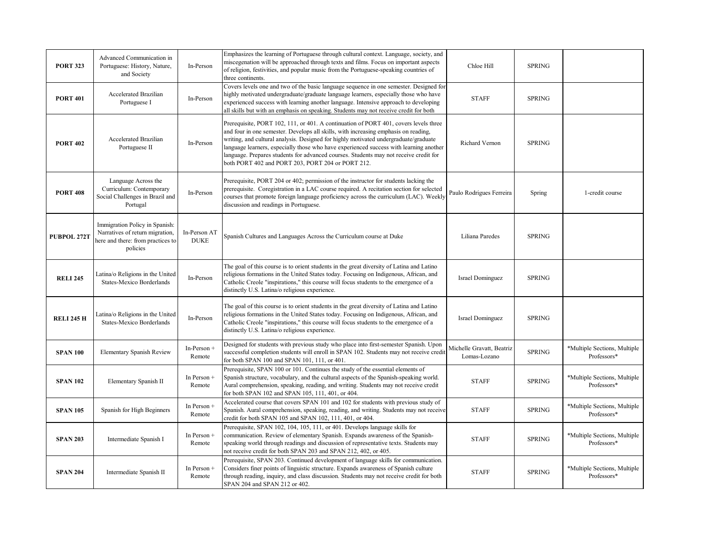| <b>PORT 323</b>   | Advanced Communication in<br>Portuguese: History, Nature,<br>and Society                                           | In-Person                   | Emphasizes the learning of Portuguese through cultural context. Language, society, and<br>miscegenation will be approached through texts and films. Focus on important aspects<br>of religion, festivities, and popular music from the Portuguese-speaking countries of<br>three continents.                                                                                                                                                                                                               | Chloe Hill                                | <b>SPRING</b> |                                             |
|-------------------|--------------------------------------------------------------------------------------------------------------------|-----------------------------|------------------------------------------------------------------------------------------------------------------------------------------------------------------------------------------------------------------------------------------------------------------------------------------------------------------------------------------------------------------------------------------------------------------------------------------------------------------------------------------------------------|-------------------------------------------|---------------|---------------------------------------------|
| <b>PORT 401</b>   | Accelerated Brazilian<br>Portuguese I                                                                              | In-Person                   | Covers levels one and two of the basic language sequence in one semester. Designed for<br>highly motivated undergraduate/graduate language learners, especially those who have<br>experienced success with learning another language. Intensive approach to developing<br>all skills but with an emphasis on speaking. Students may not receive credit for both                                                                                                                                            | <b>STAFF</b>                              | <b>SPRING</b> |                                             |
| <b>PORT 402</b>   | Accelerated Brazilian<br>Portuguese II                                                                             | In-Person                   | Prerequisite, PORT 102, 111, or 401. A continuation of PORT 401, covers levels three<br>and four in one semester. Develops all skills, with increasing emphasis on reading,<br>writing, and cultural analysis. Designed for highly motivated undergraduate/graduate<br>language learners, especially those who have experienced success with learning another<br>anguage. Prepares students for advanced courses. Students may not receive credit for<br>both PORT 402 and PORT 203, PORT 204 or PORT 212. | Richard Vernon                            | <b>SPRING</b> |                                             |
| <b>PORT 408</b>   | Language Across the<br>Curriculum: Contemporary<br>Social Challenges in Brazil and<br>Portugal                     | In-Person                   | Prerequisite, PORT 204 or 402; permission of the instructor for students lacking the<br>prerequisite. Coregistration in a LAC course required. A recitation section for selected<br>courses that promote foreign language proficiency across the curriculum (LAC). Weekly<br>discussion and readings in Portuguese.                                                                                                                                                                                        | Paulo Rodrigues Ferreira                  | Spring        | 1-credit course                             |
| PUBPOL 272T       | Immigration Policy in Spanish:<br>Narratives of return migration,<br>here and there: from practices to<br>policies | In-Person AT<br><b>DUKE</b> | Spanish Cultures and Languages Across the Curriculum course at Duke                                                                                                                                                                                                                                                                                                                                                                                                                                        | Liliana Paredes                           | <b>SPRING</b> |                                             |
| <b>RELI 245</b>   | Latina/o Religions in the United<br>States-Mexico Borderlands                                                      | In-Person                   | The goal of this course is to orient students in the great diversity of Latina and Latino<br>eligious formations in the United States today. Focusing on Indigenous, African, and<br>Catholic Creole "inspirations," this course will focus students to the emergence of a<br>distinctly U.S. Latina/o religious experience.                                                                                                                                                                               | Israel Dominguez                          | <b>SPRING</b> |                                             |
| <b>RELI 245 H</b> | Latina/o Religions in the United<br>States-Mexico Borderlands                                                      | In-Person                   | The goal of this course is to orient students in the great diversity of Latina and Latino<br>eligious formations in the United States today. Focusing on Indigenous, African, and<br>Catholic Creole "inspirations," this course will focus students to the emergence of a<br>distinctly U.S. Latina/o religious experience.                                                                                                                                                                               | <b>Israel Dominguez</b>                   | <b>SPRING</b> |                                             |
| <b>SPAN 100</b>   | <b>Elementary Spanish Review</b>                                                                                   | In-Person +<br>Remote       | Designed for students with previous study who place into first-semester Spanish. Upon<br>successful completion students will enroll in SPAN 102. Students may not receive credit<br>for both SPAN 100 and SPAN 101, 111, or 401.                                                                                                                                                                                                                                                                           | Michelle Gravatt, Beatriz<br>Lomas-Lozano | <b>SPRING</b> | *Multiple Sections, Multiple<br>Professors* |
| <b>SPAN 102</b>   | Elementary Spanish II                                                                                              | In Person +<br>Remote       | Prerequisite, SPAN 100 or 101. Continues the study of the essential elements of<br>Spanish structure, vocabulary, and the cultural aspects of the Spanish-speaking world.<br>Aural comprehension, speaking, reading, and writing. Students may not receive credit<br>for both SPAN 102 and SPAN 105, 111, 401, or 404.                                                                                                                                                                                     | <b>STAFF</b>                              | <b>SPRING</b> | *Multiple Sections, Multiple<br>Professors* |
| <b>SPAN 105</b>   | Spanish for High Beginners                                                                                         | In Person +<br>Remote       | Accelerated course that covers SPAN 101 and 102 for students with previous study of<br>Spanish. Aural comprehension, speaking, reading, and writing. Students may not receive<br>credit for both SPAN 105 and SPAN 102, 111, 401, or 404.                                                                                                                                                                                                                                                                  | <b>STAFF</b>                              | <b>SPRING</b> | *Multiple Sections, Multiple<br>Professors* |
| <b>SPAN 203</b>   | Intermediate Spanish I                                                                                             | In Person +<br>Remote       | Prerequisite, SPAN 102, 104, 105, 111, or 401. Develops language skills for<br>communication. Review of elementary Spanish. Expands awareness of the Spanish-<br>speaking world through readings and discussion of representative texts. Students may<br>not receive credit for both SPAN 203 and SPAN 212, 402, or 405.                                                                                                                                                                                   | <b>STAFF</b>                              | <b>SPRING</b> | *Multiple Sections, Multiple<br>Professors* |
| <b>SPAN 204</b>   | Intermediate Spanish II                                                                                            | In Person +<br>Remote       | Prerequisite, SPAN 203. Continued development of language skills for communication.<br>Considers finer points of linguistic structure. Expands awareness of Spanish culture<br>through reading, inquiry, and class discussion. Students may not receive credit for both<br>SPAN 204 and SPAN 212 or 402.                                                                                                                                                                                                   | <b>STAFF</b>                              | <b>SPRING</b> | *Multiple Sections, Multiple<br>Professors* |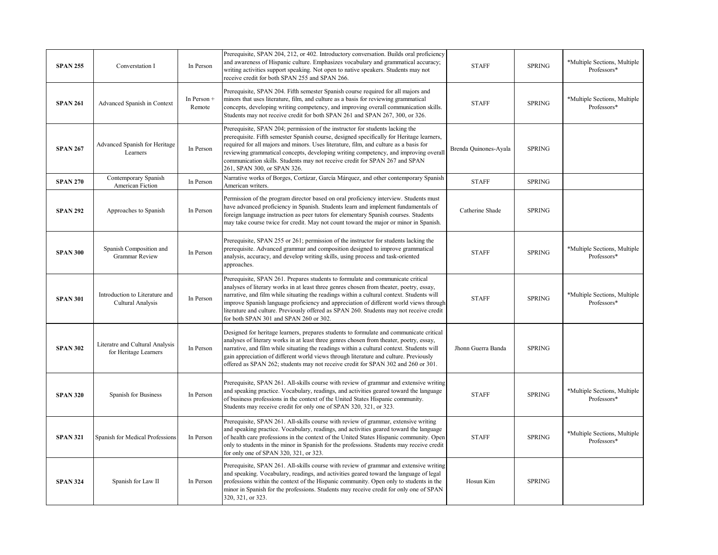| <b>SPAN 255</b> | Converstation I                                          | In Person             | Prerequisite, SPAN 204, 212, or 402. Introductory conversation. Builds oral proficiency<br>and awareness of Hispanic culture. Emphasizes vocabulary and grammatical accuracy;<br>writing activities support speaking. Not open to native speakers. Students may not<br>receive credit for both SPAN 255 and SPAN 266.                                                                                                                                                                                  | <b>STAFF</b>          | <b>SPRING</b> | *Multiple Sections, Multiple<br>Professors* |
|-----------------|----------------------------------------------------------|-----------------------|--------------------------------------------------------------------------------------------------------------------------------------------------------------------------------------------------------------------------------------------------------------------------------------------------------------------------------------------------------------------------------------------------------------------------------------------------------------------------------------------------------|-----------------------|---------------|---------------------------------------------|
| <b>SPAN 261</b> | Advanced Spanish in Context                              | In Person +<br>Remote | Prerequisite, SPAN 204. Fifth semester Spanish course required for all majors and<br>minors that uses literature, film, and culture as a basis for reviewing grammatical<br>concepts, developing writing competency, and improving overall communication skills.<br>Students may not receive credit for both SPAN 261 and SPAN 267, 300, or 326.                                                                                                                                                       | <b>STAFF</b>          | <b>SPRING</b> | *Multiple Sections, Multiple<br>Professors* |
| <b>SPAN 267</b> | Advanced Spanish for Heritage<br>Learners                | In Person             | Prerequisite, SPAN 204; permission of the instructor for students lacking the<br>prerequisite. Fifth semester Spanish course, designed specifically for Heritage learners,<br>required for all majors and minors. Uses literature, film, and culture as a basis for<br>reviewing grammatical concepts, developing writing competency, and improving overall<br>communication skills. Students may not receive credit for SPAN 267 and SPAN<br>261, SPAN 300, or SPAN 326.                              | Brenda Quinones-Ayala | <b>SPRING</b> |                                             |
| <b>SPAN 270</b> | Contemporary Spanish<br>American Fiction                 | In Person             | Narrative works of Borges, Cortázar, García Márquez, and other contemporary Spanish<br>American writers.                                                                                                                                                                                                                                                                                                                                                                                               | <b>STAFF</b>          | <b>SPRING</b> |                                             |
| <b>SPAN 292</b> | Approaches to Spanish                                    | In Person             | Permission of the program director based on oral proficiency interview. Students must<br>have advanced proficiency in Spanish. Students learn and implement fundamentals of<br>foreign language instruction as peer tutors for elementary Spanish courses. Students<br>may take course twice for credit. May not count toward the major or minor in Spanish.                                                                                                                                           | Catherine Shade       | <b>SPRING</b> |                                             |
| <b>SPAN 300</b> | Spanish Composition and<br><b>Grammar Review</b>         | In Person             | Prerequisite, SPAN 255 or 261; permission of the instructor for students lacking the<br>prerequisite. Advanced grammar and composition designed to improve grammatical<br>analysis, accuracy, and develop writing skills, using process and task-oriented<br>approaches.                                                                                                                                                                                                                               | <b>STAFF</b>          | <b>SPRING</b> | *Multiple Sections, Multiple<br>Professors* |
| <b>SPAN 301</b> | Introduction to Literature and<br>Cultural Analysis      | In Person             | Prerequisite, SPAN 261. Prepares students to formulate and communicate critical<br>analyses of literary works in at least three genres chosen from theater, poetry, essay,<br>narrative, and film while situating the readings within a cultural context. Students will<br>improve Spanish language proficiency and appreciation of different world views through<br>literature and culture. Previously offered as SPAN 260. Students may not receive credit<br>for both SPAN 301 and SPAN 260 or 302. | <b>STAFF</b>          | <b>SPRING</b> | *Multiple Sections, Multiple<br>Professors* |
| <b>SPAN 302</b> | Literatre and Cultural Analysis<br>for Heritage Learners | In Person             | Designed for heritage learners, prepares students to formulate and communicate critical<br>analyses of literary works in at least three genres chosen from theater, poetry, essay,<br>narrative, and film while situating the readings within a cultural context. Students will<br>gain appreciation of different world views through literature and culture. Previously<br>offered as SPAN 262; students may not receive credit for SPAN 302 and 260 or 301.                                          | Jhonn Guerra Banda    | <b>SPRING</b> |                                             |
| <b>SPAN 320</b> | Spanish for Business                                     | In Person             | Prerequisite, SPAN 261. All-skills course with review of grammar and extensive writing<br>and speaking practice. Vocabulary, readings, and activities geared toward the language<br>of business professions in the context of the United States Hispanic community.<br>Students may receive credit for only one of SPAN 320, 321, or 323.                                                                                                                                                              | <b>STAFF</b>          | <b>SPRING</b> | *Multiple Sections, Multiple<br>Professors* |
| <b>SPAN 321</b> | Spanish for Medical Professions                          | In Person             | Prerequisite, SPAN 261. All-skills course with review of grammar, extensive writing<br>and speaking practice. Vocabulary, readings, and activities geared toward the language<br>of health care professions in the context of the United States Hispanic community. Open<br>only to students in the minor in Spanish for the professions. Students may receive credit<br>for only one of SPAN 320, 321, or 323.                                                                                        | <b>STAFF</b>          | <b>SPRING</b> | *Multiple Sections, Multiple<br>Professors* |
| <b>SPAN 324</b> | Spanish for Law II                                       | In Person             | Prerequisite, SPAN 261. All-skills course with review of grammar and extensive writing<br>and speaking. Vocabulary, readings, and activities geared toward the language of legal<br>professions within the context of the Hispanic community. Open only to students in the<br>minor in Spanish for the professions. Students may receive credit for only one of SPAN<br>320, 321, or 323.                                                                                                              | Hosun Kim             | <b>SPRING</b> |                                             |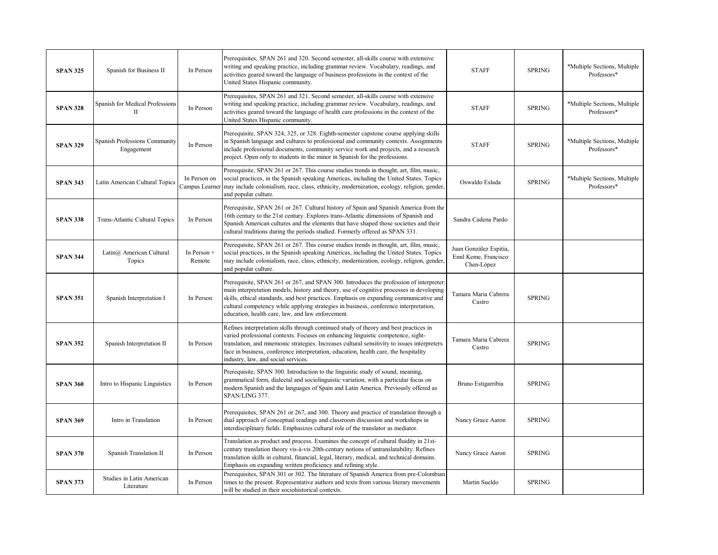| <b>SPAN 325</b> | Spanish for Business II                               | In Person                      | Prerequisites, SPAN 261 and 320. Second semester, all-skills course with extensive<br>writing and speaking practice, including grammar review. Vocabulary, readings, and<br>activities geared toward the language of business professions in the context of the<br>United States Hispanic community.                                                                                                                       | <b>STAFF</b>                                                 | <b>SPRING</b> | *Multiple Sections, Multiple<br>Professors* |
|-----------------|-------------------------------------------------------|--------------------------------|----------------------------------------------------------------------------------------------------------------------------------------------------------------------------------------------------------------------------------------------------------------------------------------------------------------------------------------------------------------------------------------------------------------------------|--------------------------------------------------------------|---------------|---------------------------------------------|
| <b>SPAN 328</b> | <b>Spanish for Medical Professions</b><br>$_{\rm II}$ | In Person                      | Prerequisites, SPAN 261 and 321. Second semester, all-skills course with extensive<br>writing and speaking practice, including grammar review. Vocabulary, readings, and<br>activities geared toward the language of health care professions in the context of the<br>United States Hispanic community.                                                                                                                    | <b>STAFF</b>                                                 | <b>SPRING</b> | *Multiple Sections, Multiple<br>Professors* |
| <b>SPAN 329</b> | Spanish Professions Community<br>Engagement           | In Person                      | Prerequisite, SPAN 324, 325, or 328. Eighth-semester capstone course applying skills<br>in Spanish language and cultures to professional and community contexts. Assignments<br>include professional documents, community service work and projects, and a research<br>project. Open only to students in the minor in Spanish for the professions.                                                                         | <b>STAFF</b>                                                 | <b>SPRING</b> | *Multiple Sections, Multiple<br>Professors* |
| <b>SPAN 343</b> | Latin American Cultural Topics                        | In Person on<br>Campus Learner | Prerequisite, SPAN 261 or 267. This course studies trends in thought, art, film, music,<br>social practices, in the Spanish speaking Americas, including the United States. Topics<br>may include colonialism, race, class, ethnicity, modernization, ecology, religion, gender,<br>and popular culture.                                                                                                                   | Oswaldo Eslada                                               | <b>SPRING</b> | *Multiple Sections, Multiple<br>Professors* |
| <b>SPAN 338</b> | Trans-Atlantic Cultural Topics                        | In Person                      | Prerequisite, SPAN 261 or 267. Cultural history of Spain and Spanish America from the<br>16th century to the 21st century. Explores trans-Atlantic dimensions of Spanish and<br>Spanish American cultures and the elements that have shaped those societies and their<br>cultural traditions during the periods studied. Formerly offered as SPAN 331.                                                                     | Sandra Cadena Pardo                                          |               |                                             |
| <b>SPAN 344</b> | Latin@ American Cultural<br>Topics                    | In Person +<br>Remote          | Prerequisite, SPAN 261 or 267. This course studies trends in thought, art, film, music,<br>social practices, in the Spanish speaking Americas, including the United States. Topics<br>may include colonialism, race, class, ethnicity, modernization, ecology, religion, gender,<br>and popular culture.                                                                                                                   | Juan González Espitia,<br>Emil Keme, Francisco<br>Chen-López |               |                                             |
| <b>SPAN 351</b> | Spanish Interpretation I                              | In Person                      | Prerequisite, SPAN 261 or 267, and SPAN 300. Introduces the profession of interpreter:<br>main interpretation models, history and theory, use of cognitive processes in developing<br>skills, ethical standards, and best practices. Emphasis on expanding communicative and<br>cultural competency while applying strategies in business, conference interpretation,<br>education, health care, law, and law enforcement. | Tamara Maria Cabrera<br>Castro                               | <b>SPRING</b> |                                             |
| <b>SPAN 352</b> | Spanish Interpretation II                             | In Person                      | Refines interpretation skills through continued study of theory and best practices in<br>varied professional contexts. Focuses on enhancing linguistic competence, sight-<br>translation, and mnemonic strategies. Increases cultural sensitivity to issues interpreters<br>face in business, conference interpretation, education, health care, the hospitality<br>industry, law, and social services.                    | Tamara Maria Cabrera<br>Castro                               | <b>SPRING</b> |                                             |
| <b>SPAN 360</b> | Intro to Hispanic Linguistics                         | In Person                      | Prerequisite, SPAN 300. Introduction to the linguistic study of sound, meaning,<br>grammatical form, dialectal and sociolinguistic variation, with a particular focus on<br>modern Spanish and the languages of Spain and Latin America. Previously offered as<br>SPAN/LING 377.                                                                                                                                           | Bruno Estigarribia                                           | <b>SPRING</b> |                                             |
| <b>SPAN 369</b> | Intro in Translation                                  | In Person                      | Prerequisites, SPAN 261 or 267, and 300. Theory and practice of translation through a<br>dual approach of conceptual readings and classroom discussion and workshops in<br>interdisciplinary fields. Emphasizes cultural role of the translator as mediator.                                                                                                                                                               | Nancy Grace Aaron                                            | <b>SPRING</b> |                                             |
| <b>SPAN 370</b> | Spanish Translation II                                | In Person                      | Translation as product and process. Examines the concept of cultural fluidity in 21st-<br>century translation theory vis-à-vis 20th-century notions of untranslatability. Refines<br>translation skills in cultural, financial, legal, literary, medical, and technical domains.<br>Emphasis on expanding written proficiency and refining style.                                                                          | Nancy Grace Aaron                                            | <b>SPRING</b> |                                             |
| <b>SPAN 373</b> | Studies in Latin American<br>Literature               | In Person                      | Prerequisites, SPAN 301 or 302. The literature of Spanish America from pre-Colombian<br>times to the present. Representative authors and texts from various literary movements<br>will be studied in their sociohistorical contexts.                                                                                                                                                                                       | Martin Sueldo                                                | <b>SPRING</b> |                                             |